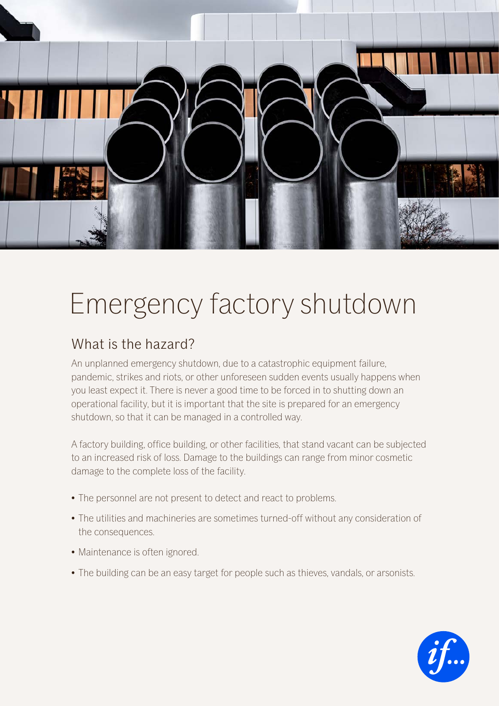

# Emergency factory shutdown

## What is the hazard?

An unplanned emergency shutdown, due to a catastrophic equipment failure, pandemic, strikes and riots, or other unforeseen sudden events usually happens when you least expect it. There is never a good time to be forced in to shutting down an operational facility, but it is important that the site is prepared for an emergency shutdown, so that it can be managed in a controlled way.

A factory building, office building, or other facilities, that stand vacant can be subjected to an increased risk of loss. Damage to the buildings can range from minor cosmetic damage to the complete loss of the facility.

- The personnel are not present to detect and react to problems.
- The utilities and machineries are sometimes turned-off without any consideration of the consequences.
- Maintenance is often ignored.
- The building can be an easy target for people such as thieves, vandals, or arsonists.

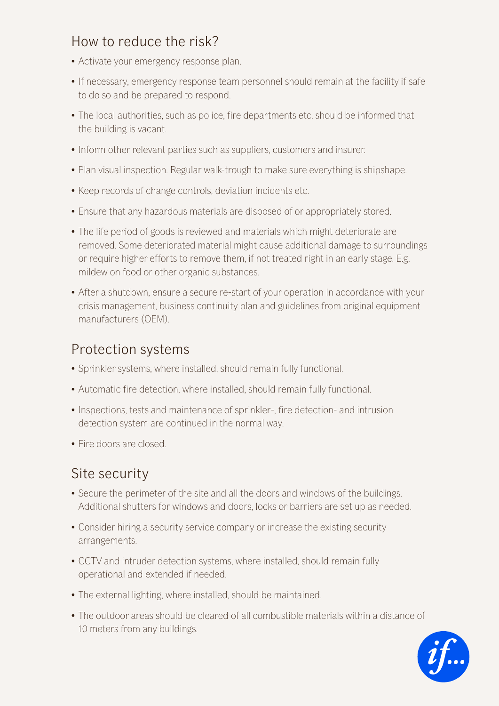## How to reduce the risk?

- Activate your emergency response plan.
- If necessary, emergency response team personnel should remain at the facility if safe to do so and be prepared to respond.
- The local authorities, such as police, fire departments etc. should be informed that the building is vacant.
- Inform other relevant parties such as suppliers, customers and insurer.
- Plan visual inspection. Regular walk-trough to make sure everything is shipshape.
- Keep records of change controls, deviation incidents etc.
- Ensure that any hazardous materials are disposed of or appropriately stored.
- The life period of goods is reviewed and materials which might deteriorate are removed. Some deteriorated material might cause additional damage to surroundings or require higher efforts to remove them, if not treated right in an early stage. E.g. mildew on food or other organic substances.
- After a shutdown, ensure a secure re-start of your operation in accordance with your crisis management, business continuity plan and guidelines from original equipment manufacturers (OEM).

## Protection systems

- Sprinkler systems, where installed, should remain fully functional.
- Automatic fire detection, where installed, should remain fully functional.
- Inspections, tests and maintenance of sprinkler-, fire detection- and intrusion detection system are continued in the normal way.
- Fire doors are closed.

## Site security

- Secure the perimeter of the site and all the doors and windows of the buildings. Additional shutters for windows and doors, locks or barriers are set up as needed.
- Consider hiring a security service company or increase the existing security arrangements.
- CCTV and intruder detection systems, where installed, should remain fully operational and extended if needed.
- The external lighting, where installed, should be maintained.
- The outdoor areas should be cleared of all combustible materials within a distance of 10 meters from any buildings.